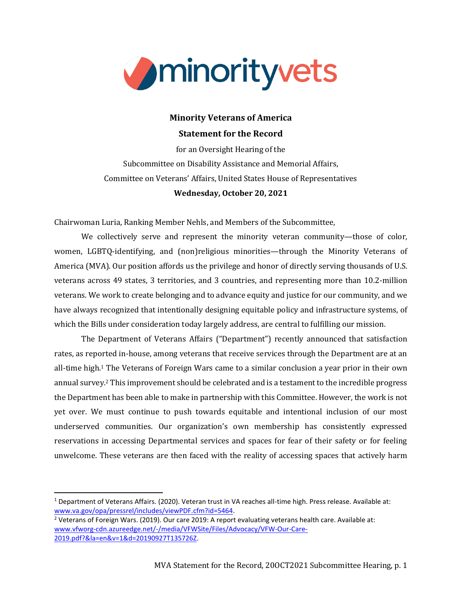

# **Minority Veterans of America Statement for the Record**

for an Oversight Hearing of the Subcommittee on Disability Assistance and Memorial Affairs, Committee on Veterans' Affairs, United States House of Representatives **Wednesday, October 20, 2021**

Chairwoman Luria, Ranking Member Nehls, and Members of the Subcommittee,

We collectively serve and represent the minority veteran community—those of color, women, LGBTQ-identifying, and (non)religious minorities—through the Minority Veterans of America (MVA). Our position affords us the privilege and honor of directly serving thousands of U.S. veterans across 49 states, 3 territories, and 3 countries, and representing more than 10.2-million veterans. We work to create belonging and to advance equity and justice for our community, and we have always recognized that intentionally designing equitable policy and infrastructure systems, of which the Bills under consideration today largely address, are central to fulfilling our mission.

The Department of Veterans Affairs ("Department") recently announced that satisfaction rates, as reported in-house, among veterans that receive services through the Department are at an all-time high.<sup>1</sup> The Veterans of Foreign Wars came to a similar conclusion a year prior in their own annual survey.<sup>2</sup> This improvement should be celebrated and is a testament to the incredible progress the Department has been able to make in partnership with this Committee. However, the work is not yet over. We must continue to push towards equitable and intentional inclusion of our most underserved communities. Our organization's own membership has consistently expressed reservations in accessing Departmental services and spaces for fear of their safety or for feeling unwelcome. These veterans are then faced with the reality of accessing spaces that actively harm

<sup>2</sup> Veterans of Foreign Wars. (2019). Our care 2019: A report evaluating veterans health care. Available at: [www.vfworg-cdn.azureedge.net/-/media/VFWSite/Files/Advocacy/VFW-Our-Care-](https://vfworg-cdn.azureedge.net/-/media/VFWSite/Files/Advocacy/VFW-Our-Care-2019.pdf?&la=en&v=1&d=20190927T135726Z)[2019.pdf?&la=en&v=1&d=20190927T135726Z.](https://vfworg-cdn.azureedge.net/-/media/VFWSite/Files/Advocacy/VFW-Our-Care-2019.pdf?&la=en&v=1&d=20190927T135726Z)

<sup>1</sup> Department of Veterans Affairs. (2020). Veteran trust in VA reaches all-time high. Press release. Available at: [www.va.gov/opa/pressrel/includes/viewPDF.cfm?id=5464.](https://www.va.gov/opa/pressrel/includes/viewPDF.cfm?id=5464)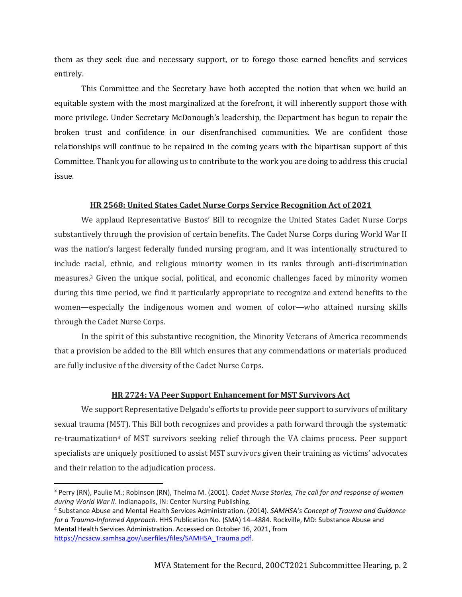them as they seek due and necessary support, or to forego those earned benefits and services entirely.

This Committee and the Secretary have both accepted the notion that when we build an equitable system with the most marginalized at the forefront, it will inherently support those with more privilege. Under Secretary McDonough's leadership, the Department has begun to repair the broken trust and confidence in our disenfranchised communities. We are confident those relationships will continue to be repaired in the coming years with the bipartisan support of this Committee. Thank you for allowing us to contribute to the work you are doing to address this crucial issue.

#### **HR 2568: United States Cadet Nurse Corps Service Recognition Act of 2021**

We applaud Representative Bustos' Bill to recognize the United States Cadet Nurse Corps substantively through the provision of certain benefits. The Cadet Nurse Corps during World War II was the nation's largest federally funded nursing program, and it was intentionally structured to include racial, ethnic, and religious minority women in its ranks through anti-discrimination measures.<sup>3</sup> Given the unique social, political, and economic challenges faced by minority women during this time period, we find it particularly appropriate to recognize and extend benefits to the women—especially the indigenous women and women of color—who attained nursing skills through the Cadet Nurse Corps.

In the spirit of this substantive recognition, the Minority Veterans of America recommends that a provision be added to the Bill which ensures that any commendations or materials produced are fully inclusive of the diversity of the Cadet Nurse Corps.

## **HR 2724: VA Peer Support Enhancement for MST Survivors Act**

We support Representative Delgado's efforts to provide peer support to survivors of military sexual trauma (MST). This Bill both recognizes and provides a path forward through the systematic re-traumatization<sup>4</sup> of MST survivors seeking relief through the VA claims process. Peer support specialists are uniquely positioned to assist MST survivors given their training as victims' advocates and their relation to the adjudication process.

<sup>3</sup> Perry (RN), Paulie M.; Robinson (RN), Thelma M. (2001). *Cadet Nurse Stories, The call for and response of women during World War II*. Indianapolis, IN: Center Nursing Publishing.

<sup>4</sup> Substance Abuse and Mental Health Services Administration. (2014). *SAMHSA's Concept of Trauma and Guidance for a Trauma-Informed Approach*. HHS Publication No. (SMA) 14–4884. Rockville, MD: Substance Abuse and Mental Health Services Administration. Accessed on October 16, 2021, from [https://ncsacw.samhsa.gov/userfiles/files/SAMHSA\\_Trauma.pdf.](https://ncsacw.samhsa.gov/userfiles/files/SAMHSA_Trauma.pdf)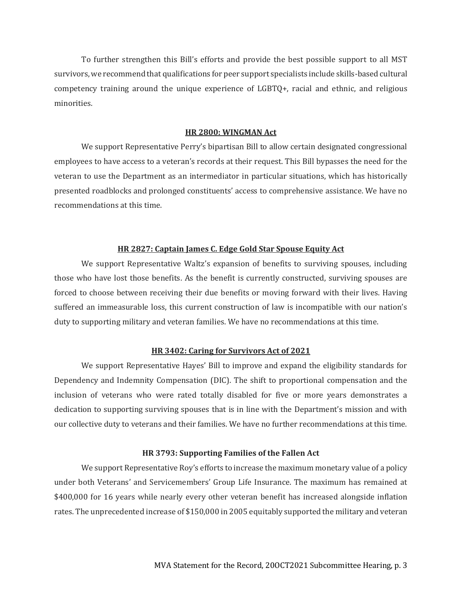To further strengthen this Bill's efforts and provide the best possible support to all MST survivors, we recommend that qualifications for peer support specialists include skills-based cultural competency training around the unique experience of LGBTQ+, racial and ethnic, and religious minorities.

### **HR 2800: WINGMAN Act**

We support Representative Perry's bipartisan Bill to allow certain designated congressional employees to have access to a veteran's records at their request. This Bill bypasses the need for the veteran to use the Department as an intermediator in particular situations, which has historically presented roadblocks and prolonged constituents' access to comprehensive assistance. We have no recommendations at this time.

#### **HR 2827: Captain James C. Edge Gold Star Spouse Equity Act**

We support Representative Waltz's expansion of benefits to surviving spouses, including those who have lost those benefits. As the benefit is currently constructed, surviving spouses are forced to choose between receiving their due benefits or moving forward with their lives. Having suffered an immeasurable loss, this current construction of law is incompatible with our nation's duty to supporting military and veteran families. We have no recommendations at this time.

#### **HR 3402: Caring for Survivors Act of 2021**

We support Representative Hayes' Bill to improve and expand the eligibility standards for Dependency and Indemnity Compensation (DIC). The shift to proportional compensation and the inclusion of veterans who were rated totally disabled for five or more years demonstrates a dedication to supporting surviving spouses that is in line with the Department's mission and with our collective duty to veterans and their families. We have no further recommendations at this time.

#### **HR 3793: Supporting Families of the Fallen Act**

We support Representative Roy's efforts to increase the maximum monetary value of a policy under both Veterans' and Servicemembers' Group Life Insurance. The maximum has remained at \$400,000 for 16 years while nearly every other veteran benefit has increased alongside inflation rates. The unprecedented increase of \$150,000 in 2005 equitably supported the military and veteran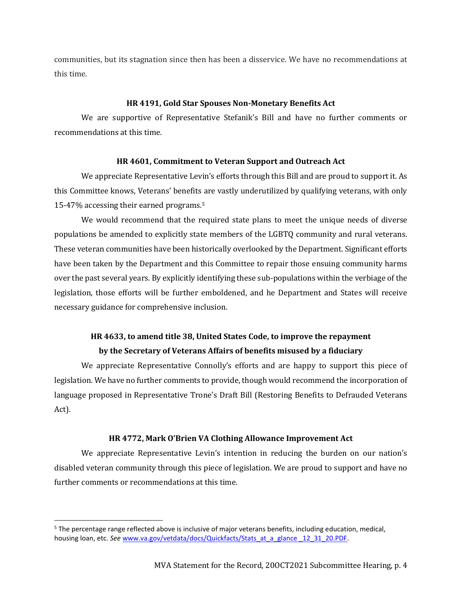communities, but its stagnation since then has been a disservice. We have no recommendations at this time.

## **HR 4191, Gold Star Spouses Non-Monetary Benefits Act**

We are supportive of Representative Stefanik's Bill and have no further comments or recommendations at this time.

## **HR 4601, Commitment to Veteran Support and Outreach Act**

We appreciate Representative Levin's efforts through this Bill and are proud to support it. As this Committee knows, Veterans' benefits are vastly underutilized by qualifying veterans, with only 15-47% accessing their earned programs.<sup>5</sup>

We would recommend that the required state plans to meet the unique needs of diverse populations be amended to explicitly state members of the LGBTQ community and rural veterans. These veteran communities have been historically overlooked by the Department. Significant efforts have been taken by the Department and this Committee to repair those ensuing community harms over the past several years. By explicitly identifying these sub-populations within the verbiage of the legislation, those efforts will be further emboldened, and he Department and States will receive necessary guidance for comprehensive inclusion.

## **HR 4633, to amend title 38, United States Code, to improve the repayment by the Secretary of Veterans Affairs of benefits misused by a fiduciary**

We appreciate Representative Connolly's efforts and are happy to support this piece of legislation. We have no further comments to provide, though would recommend the incorporation of language proposed in Representative Trone's Draft Bill (Restoring Benefits to Defrauded Veterans Act).

## **HR 4772, Mark O'Brien VA Clothing Allowance Improvement Act**

We appreciate Representative Levin's intention in reducing the burden on our nation's disabled veteran community through this piece of legislation. We are proud to support and have no further comments or recommendations at this time.

<sup>&</sup>lt;sup>5</sup> The percentage range reflected above is inclusive of major veterans benefits, including education, medical, housing loan, etc. *See* [www.va.gov/vetdata/docs/Quickfacts/Stats\\_at\\_a\\_glance \\_12\\_31\\_20.PDF.](http://www.va.gov/vetdata/docs/Quickfacts/Stats_at_a_glance%20_12_31_20.PDF)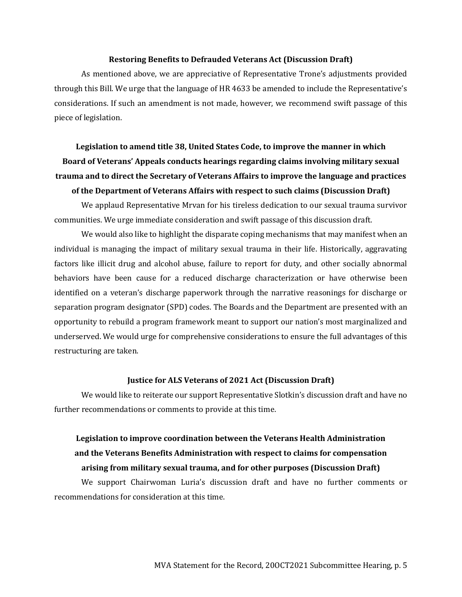#### **Restoring Benefits to Defrauded Veterans Act (Discussion Draft)**

As mentioned above, we are appreciative of Representative Trone's adjustments provided through this Bill. We urge that the language of HR 4633 be amended to include the Representative's considerations. If such an amendment is not made, however, we recommend swift passage of this piece of legislation.

# **Legislation to amend title 38, United States Code, to improve the manner in which Board of Veterans' Appeals conducts hearings regarding claims involving military sexual trauma and to direct the Secretary of Veterans Affairs to improve the language and practices of the Department of Veterans Affairs with respect to such claims (Discussion Draft)**

We applaud Representative Mrvan for his tireless dedication to our sexual trauma survivor communities. We urge immediate consideration and swift passage of this discussion draft.

We would also like to highlight the disparate coping mechanisms that may manifest when an individual is managing the impact of military sexual trauma in their life. Historically, aggravating factors like illicit drug and alcohol abuse, failure to report for duty, and other socially abnormal behaviors have been cause for a reduced discharge characterization or have otherwise been identified on a veteran's discharge paperwork through the narrative reasonings for discharge or separation program designator (SPD) codes. The Boards and the Department are presented with an opportunity to rebuild a program framework meant to support our nation's most marginalized and underserved. We would urge for comprehensive considerations to ensure the full advantages of this restructuring are taken.

#### **Justice for ALS Veterans of 2021 Act (Discussion Draft)**

We would like to reiterate our support Representative Slotkin's discussion draft and have no further recommendations or comments to provide at this time.

## **Legislation to improve coordination between the Veterans Health Administration and the Veterans Benefits Administration with respect to claims for compensation arising from military sexual trauma, and for other purposes (Discussion Draft)**

We support Chairwoman Luria's discussion draft and have no further comments or recommendations for consideration at this time.